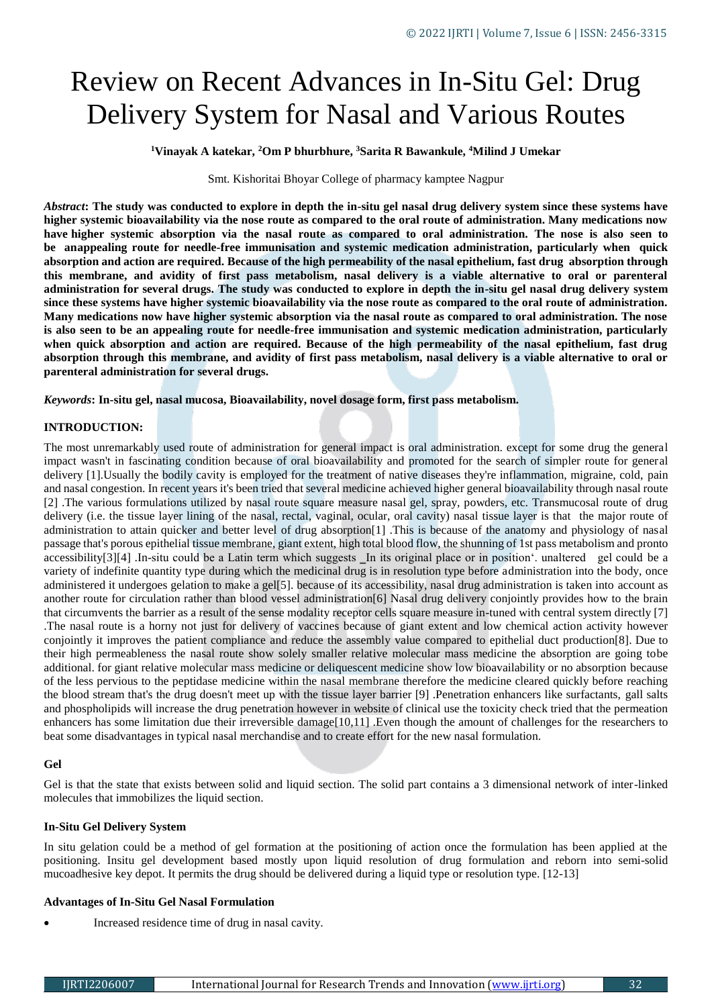# Review on Recent Advances in In-Situ Gel: Drug Delivery System for Nasal and Various Routes

**<sup>1</sup>Vinayak A katekar, <sup>2</sup>Om P bhurbhure, <sup>3</sup>Sarita R Bawankule, <sup>4</sup>Milind J Umekar**

Smt. Kishoritai Bhoyar College of pharmacy kamptee Nagpur

*Abstract***: The study was conducted to explore in depth the in-situ gel nasal drug delivery system since these systems have higher systemic bioavailability via the nose route as compared to the oral route of administration. Many medications now**  have higher systemic absorption via the nasal route as compared to oral administration. The nose is also seen to **be anappealing route for needle-free immunisation and systemic medication administration, particularly when quick absorption and action are required. Because of the high permeability of the nasal epithelium, fast drug absorption through this membrane, and avidity of first pass metabolism, nasal delivery is a viable alternative to oral or parenteral administration for several drugs. The study was conducted to explore in depth the in-situ gel nasal drug delivery system since these systems have higher systemic bioavailability via the nose route as compared to the oral route of administration. Many medications now have higher systemic absorption via the nasal route as compared to oral administration. The nose is also seen to be an appealing route for needle-free immunisation and systemic medication administration, particularly when quick absorption and action are required. Because of the high permeability of the nasal epithelium, fast drug absorption through this membrane, and avidity of first pass metabolism, nasal delivery is a viable alternative to oral or parenteral administration for several drugs.**

*Keywords***: In-situ gel, nasal mucosa, Bioavailability, novel dosage form, first pass metabolism.**

#### **INTRODUCTION:**

The most unremarkably used route of administration for general impact is oral administration. except for some drug the general impact wasn't in fascinating condition because of oral bioavailability and promoted for the search of simpler route for general delivery [1].Usually the bodily cavity is employed for the treatment of native diseases they're inflammation, migraine, cold, pain and nasal congestion. In recent years it's been tried that several medicine achieved higher general bioavailability through nasal route [2] .The various formulations utilized by nasal route square measure nasal gel, spray, powders, etc. Transmucosal route of drug delivery (i.e. the tissue layer lining of the nasal, rectal, vaginal, ocular, oral cavity) nasal tissue layer is that the major route of administration to attain quicker and better level of drug absorption[1] .This is because of the anatomy and physiology of nasal passage that's porous epithelial tissue membrane, giant extent, high total blood flow, the shunning of 1st pass metabolism and pronto accessibility[3][4] .In-situ could be a Latin term which suggests Ln its original place or in position'. unaltered gel could be a variety of indefinite quantity type during which the medicinal drug is in resolution type before administration into the body, once administered it undergoes gelation to make a gel[5]. because of its accessibility, nasal drug administration is taken into account as another route for circulation rather than blood vessel administration[6] Nasal drug delivery conjointly provides how to the brain that circumvents the barrier as a result of the sense modality receptor cells square measure in-tuned with central system directly [7] .The nasal route is a horny not just for delivery of vaccines because of giant extent and low chemical action activity however conjointly it improves the patient compliance and reduce the assembly value compared to epithelial duct production[8]. Due to their high permeableness the nasal route show solely smaller relative molecular mass medicine the absorption are going tobe additional. for giant relative molecular mass medicine or deliquescent medicine show low bioavailability or no absorption because of the less pervious to the peptidase medicine within the nasal membrane therefore the medicine cleared quickly before reaching the blood stream that's the drug doesn't meet up with the tissue layer barrier [9] .Penetration enhancers like surfactants, gall salts and phospholipids will increase the drug penetration however in website of clinical use the toxicity check tried that the permeation enhancers has some limitation due their irreversible damage[10,11] .Even though the amount of challenges for the researchers to beat some disadvantages in typical nasal merchandise and to create effort for the new nasal formulation.

## **Gel**

Gel is that the state that exists between solid and liquid section. The solid part contains a 3 dimensional network of inter-linked molecules that immobilizes the liquid section.

## **In-Situ Gel Delivery System**

In situ gelation could be a method of gel formation at the positioning of action once the formulation has been applied at the positioning. Insitu gel development based mostly upon liquid resolution of drug formulation and reborn into semi-solid mucoadhesive key depot. It permits the drug should be delivered during a liquid type or resolution type. [12-13]

## **Advantages of In-Situ Gel Nasal Formulation**

Increased residence time of drug in nasal cavity.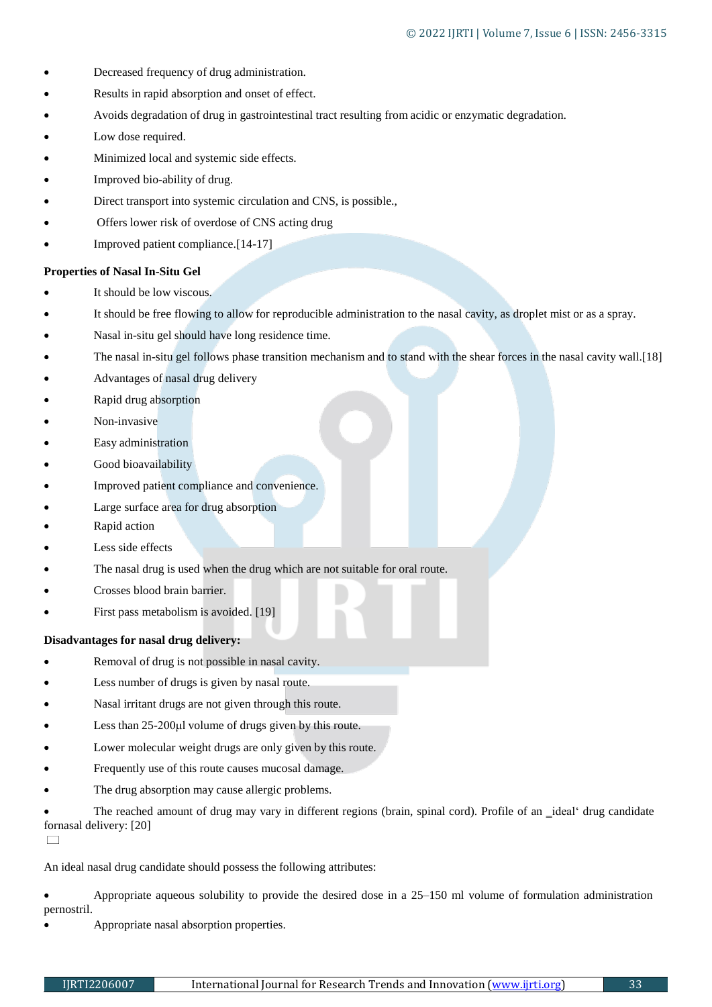- Decreased frequency of drug administration.
- Results in rapid absorption and onset of effect.
- Avoids degradation of drug in gastrointestinal tract resulting from acidic or enzymatic degradation.
- Low dose required.
- Minimized local and systemic side effects.
- Improved bio-ability of drug.
- Direct transport into systemic circulation and CNS, is possible.,
- Offers lower risk of overdose of CNS acting drug
- Improved patient compliance.[14-17]

#### **Properties of Nasal In-Situ Gel**

- It should be low viscous.
- It should be free flowing to allow for reproducible administration to the nasal cavity, as droplet mist or as a spray.
- Nasal in-situ gel should have long residence time.
- The nasal in-situ gel follows phase transition mechanism and to stand with the shear forces in the nasal cavity wall.[18]
- Advantages of nasal drug delivery
- Rapid drug absorption
- Non-invasive
- Easy administration
- Good bioavailability
- Improved patient compliance and convenience.
- Large surface area for drug absorption
- Rapid action
- Less side effects
- The nasal drug is used when the drug which are not suitable for oral route.
- Crosses blood brain barrier.
- First pass metabolism is avoided. [19]

#### **Disadvantages for nasal drug delivery:**

- Removal of drug is not possible in nasal cavity.
- Less number of drugs is given by nasal route.
- Nasal irritant drugs are not given through this route.
- Less than 25-200μl volume of drugs given by this route.
- Lower molecular weight drugs are only given by this route.
- Frequently use of this route causes mucosal damage.
- The drug absorption may cause allergic problems.

The reached amount of drug may vary in different regions (brain, spinal cord). Profile of an *ideal' drug candidate* fornasal delivery: [20]

 $\Box$ 

An ideal nasal drug candidate should possess the following attributes:

 Appropriate aqueous solubility to provide the desired dose in a 25–150 ml volume of formulation administration pernostril.

Appropriate nasal absorption properties.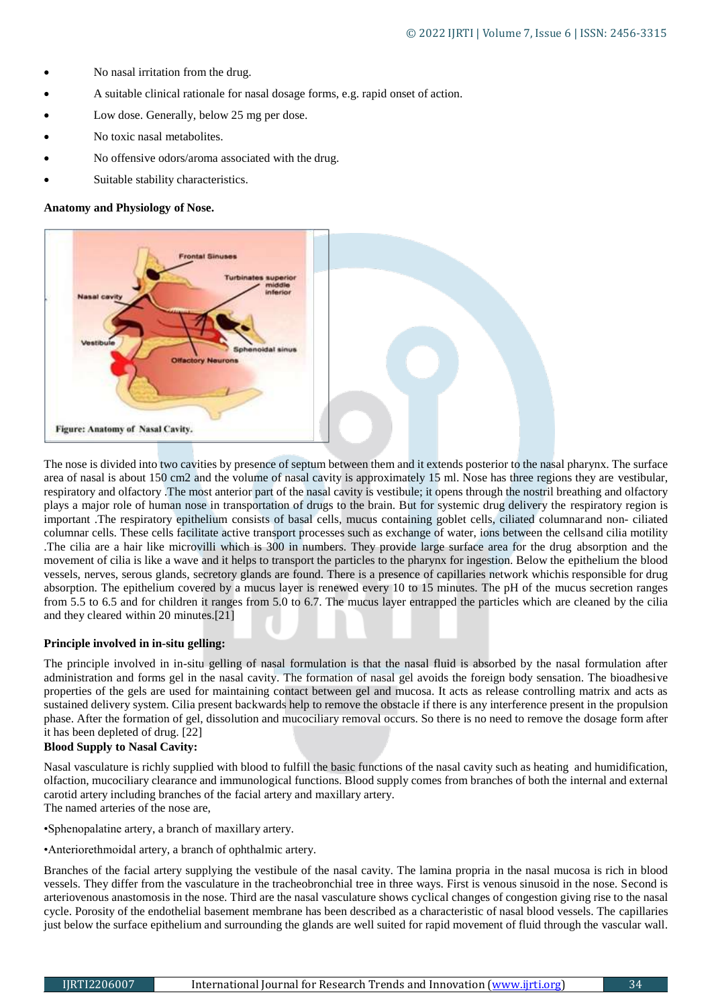- No nasal irritation from the drug.
- A suitable clinical rationale for nasal dosage forms, e.g. rapid onset of action.
- Low dose. Generally, below 25 mg per dose.
- No toxic nasal metabolites.
- No offensive odors/aroma associated with the drug.
- Suitable stability characteristics.

#### **Anatomy and Physiology of Nose.**



The nose is divided into two cavities by presence of septum between them and it extends posterior to the nasal pharynx. The surface area of nasal is about 150 cm2 and the volume of nasal cavity is approximately 15 ml. Nose has three regions they are vestibular, respiratory and olfactory .The most anterior part of the nasal cavity is vestibule; it opens through the nostril breathing and olfactory plays a major role of human nose in transportation of drugs to the brain. But for systemic drug delivery the respiratory region is important .The respiratory epithelium consists of basal cells, mucus containing goblet cells, ciliated columnarand non- ciliated columnar cells. These cells facilitate active transport processes such as exchange of water, ions between the cellsand cilia motility .The cilia are a hair like microvilli which is 300 in numbers. They provide large surface area for the drug absorption and the movement of cilia is like a wave and it helps to transport the particles to the pharynx for ingestion. Below the epithelium the blood vessels, nerves, serous glands, secretory glands are found. There is a presence of capillaries network whichis responsible for drug absorption. The epithelium covered by a mucus layer is renewed every 10 to 15 minutes. The pH of the mucus secretion ranges from 5.5 to 6.5 and for children it ranges from 5.0 to 6.7. The mucus layer entrapped the particles which are cleaned by the cilia and they cleared within 20 minutes.[21]

#### **Principle involved in in-situ gelling:**

The principle involved in in-situ gelling of nasal formulation is that the nasal fluid is absorbed by the nasal formulation after administration and forms gel in the nasal cavity. The formation of nasal gel avoids the foreign body sensation. The bioadhesive properties of the gels are used for maintaining contact between gel and mucosa. It acts as release controlling matrix and acts as sustained delivery system. Cilia present backwards help to remove the obstacle if there is any interference present in the propulsion phase. After the formation of gel, dissolution and mucociliary removal occurs. So there is no need to remove the dosage form after it has been depleted of drug. [22]

## **Blood Supply to Nasal Cavity:**

Nasal vasculature is richly supplied with blood to fulfill the basic functions of the nasal cavity such as heating and humidification, olfaction, mucociliary clearance and immunological functions. Blood supply comes from branches of both the internal and external carotid artery including branches of the facial artery and maxillary artery. The named arteries of the nose are,

•Sphenopalatine artery, a branch of maxillary artery.

•Anteriorethmoidal artery, a branch of ophthalmic artery.

Branches of the facial artery supplying the vestibule of the nasal cavity. The lamina propria in the nasal mucosa is rich in blood vessels. They differ from the vasculature in the tracheobronchial tree in three ways. First is venous sinusoid in the nose. Second is arteriovenous anastomosis in the nose. Third are the nasal vasculature shows cyclical changes of congestion giving rise to the nasal cycle. Porosity of the endothelial basement membrane has been described as a characteristic of nasal blood vessels. The capillaries just below the surface epithelium and surrounding the glands are well suited for rapid movement of fluid through the vascular wall.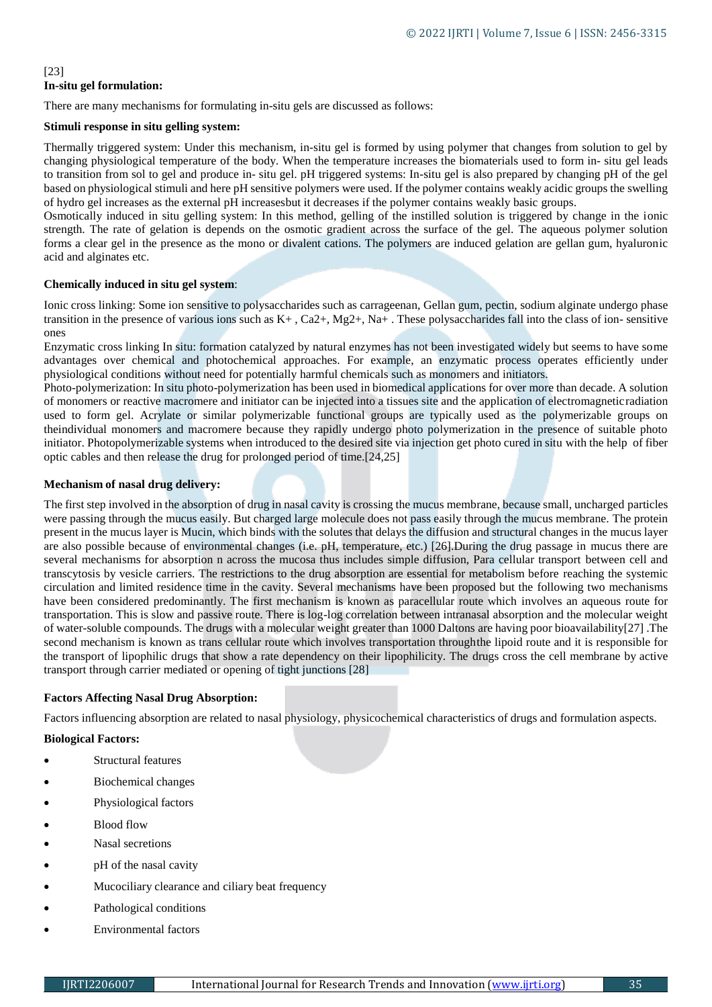# [23] **In-situ gel formulation:**

There are many mechanisms for formulating in-situ gels are discussed as follows:

## **Stimuli response in situ gelling system:**

Thermally triggered system: Under this mechanism, in-situ gel is formed by using polymer that changes from solution to gel by changing physiological temperature of the body. When the temperature increases the biomaterials used to form in- situ gel leads to transition from sol to gel and produce in- situ gel. pH triggered systems: In-situ gel is also prepared by changing pH of the gel based on physiological stimuli and here pH sensitive polymers were used. If the polymer contains weakly acidic groups the swelling of hydro gel increases as the external pH increasesbut it decreases if the polymer contains weakly basic groups.

Osmotically induced in situ gelling system: In this method, gelling of the instilled solution is triggered by change in the ionic strength. The rate of gelation is depends on the osmotic gradient across the surface of the gel. The aqueous polymer solution forms a clear gel in the presence as the mono or divalent cations. The polymers are induced gelation are gellan gum, hyaluronic acid and alginates etc.

## **Chemically induced in situ gel system**:

Ionic cross linking: Some ion sensitive to polysaccharides such as carrageenan, Gellan gum, pectin, sodium alginate undergo phase transition in the presence of various ions such as  $K^+$ , Ca2+, Mg2+, Na+. These polysaccharides fall into the class of ion- sensitive ones

Enzymatic cross linking In situ: formation catalyzed by natural enzymes has not been investigated widely but seems to have some advantages over chemical and photochemical approaches. For example, an enzymatic process operates efficiently under physiological conditions without need for potentially harmful chemicals such as monomers and initiators.

Photo-polymerization: In situ photo-polymerization has been used in biomedical applications for over more than decade. A solution of monomers or reactive macromere and initiator can be injected into a tissues site and the application of electromagneticradiation used to form gel. Acrylate or similar polymerizable functional groups are typically used as the polymerizable groups on theindividual monomers and macromere because they rapidly undergo photo polymerization in the presence of suitable photo initiator. Photopolymerizable systems when introduced to the desired site via injection get photo cured in situ with the help of fiber optic cables and then release the drug for prolonged period of time.[24,25]

## **Mechanism of nasal drug delivery:**

The first step involved in the absorption of drug in nasal cavity is crossing the mucus membrane, because small, uncharged particles were passing through the mucus easily. But charged large molecule does not pass easily through the mucus membrane. The protein present in the mucus layer is Mucin, which binds with the solutes that delays the diffusion and structural changes in the mucus layer are also possible because of environmental changes (i.e. pH, temperature, etc.) [26].During the drug passage in mucus there are several mechanisms for absorption n across the mucosa thus includes simple diffusion, Para cellular transport between cell and transcytosis by vesicle carriers. The restrictions to the drug absorption are essential for metabolism before reaching the systemic circulation and limited residence time in the cavity. Several mechanisms have been proposed but the following two mechanisms have been considered predominantly. The first mechanism is known as paracellular route which involves an aqueous route for transportation. This is slow and passive route. There is log-log correlation between intranasal absorption and the molecular weight of water-soluble compounds. The drugs with a molecular weight greater than 1000 Daltons are having poor bioavailability[27] .The second mechanism is known as trans cellular route which involves transportation throughthe lipoid route and it is responsible for the transport of lipophilic drugs that show a rate dependency on their lipophilicity. The drugs cross the cell membrane by active transport through carrier mediated or opening of tight junctions [28]

## **Factors Affecting Nasal Drug Absorption:**

Factors influencing absorption are related to nasal physiology, physicochemical characteristics of drugs and formulation aspects.

## **Biological Factors:**

- Structural features
- Biochemical changes
- Physiological factors
- Blood flow
- Nasal secretions
- pH of the nasal cavity
- Mucociliary clearance and ciliary beat frequency
- Pathological conditions
- Environmental factors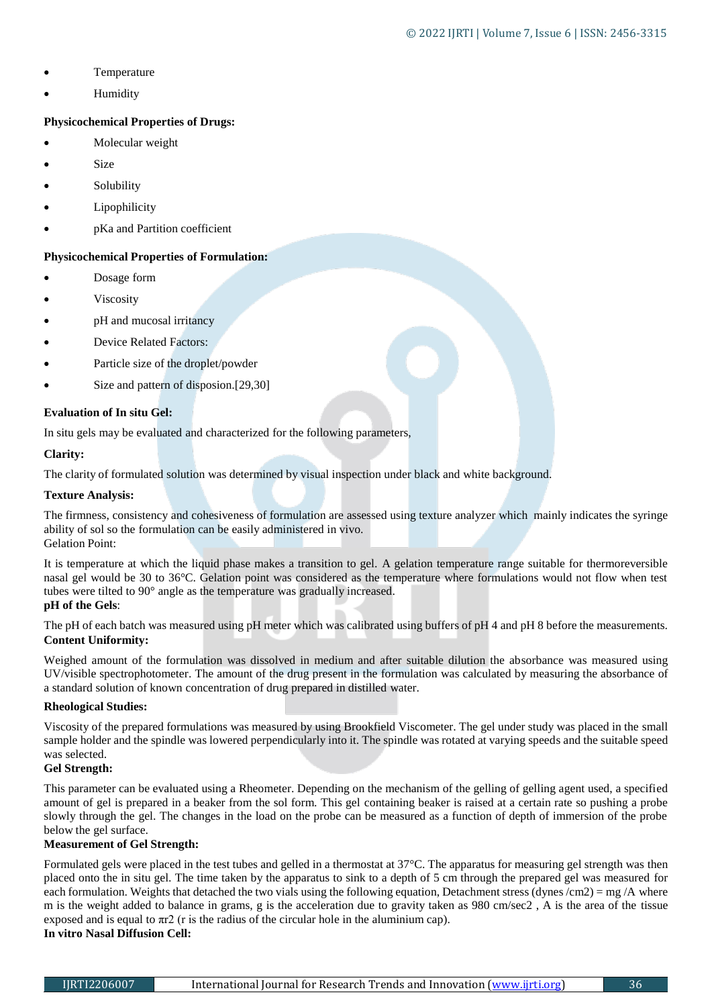- Temperature
- Humidity

# **Physicochemical Properties of Drugs:**

- Molecular weight
- Size
- Solubility
- Lipophilicity
- pKa and Partition coefficient

# **Physicochemical Properties of Formulation:**

- Dosage form
- Viscosity
- pH and mucosal irritancy
- Device Related Factors:
- Particle size of the droplet/powder
- Size and pattern of disposion.[29,30]

## **Evaluation of In situ Gel:**

In situ gels may be evaluated and characterized for the following parameters,

## **Clarity:**

The clarity of formulated solution was determined by visual inspection under black and white background.

## **Texture Analysis:**

The firmness, consistency and cohesiveness of formulation are assessed using texture analyzer which mainly indicates the syringe ability of sol so the formulation can be easily administered in vivo. Gelation Point:

It is temperature at which the liquid phase makes a transition to gel. A gelation temperature range suitable for thermoreversible nasal gel would be 30 to 36°C. Gelation point was considered as the temperature where formulations would not flow when test tubes were tilted to 90° angle as the temperature was gradually increased. **pH of the Gels**:

## The pH of each batch was measured using pH meter which was calibrated using buffers of pH 4 and pH 8 before the measurements. **Content Uniformity:**

Weighed amount of the formulation was dissolved in medium and after suitable dilution the absorbance was measured using UV/visible spectrophotometer. The amount of the drug present in the formulation was calculated by measuring the absorbance of a standard solution of known concentration of drug prepared in distilled water.

## **Rheological Studies:**

Viscosity of the prepared formulations was measured by using Brookfield Viscometer. The gel under study was placed in the small sample holder and the spindle was lowered perpendicularly into it. The spindle was rotated at varying speeds and the suitable speed was selected.

# **Gel Strength:**

This parameter can be evaluated using a Rheometer. Depending on the mechanism of the gelling of gelling agent used, a specified amount of gel is prepared in a beaker from the sol form. This gel containing beaker is raised at a certain rate so pushing a probe slowly through the gel. The changes in the load on the probe can be measured as a function of depth of immersion of the probe below the gel surface.

## **Measurement of Gel Strength:**

Formulated gels were placed in the test tubes and gelled in a thermostat at 37°C. The apparatus for measuring gel strength was then placed onto the in situ gel. The time taken by the apparatus to sink to a depth of 5 cm through the prepared gel was measured for each formulation. Weights that detached the two vials using the following equation, Detachment stress (dynes  $\rm/cm2$ ) = mg  $\rm/A$  where m is the weight added to balance in grams, g is the acceleration due to gravity taken as 980 cm/sec2 , A is the area of the tissue exposed and is equal to  $\pi r^2$  (r is the radius of the circular hole in the aluminium cap).

# **In vitro Nasal Diffusion Cell:**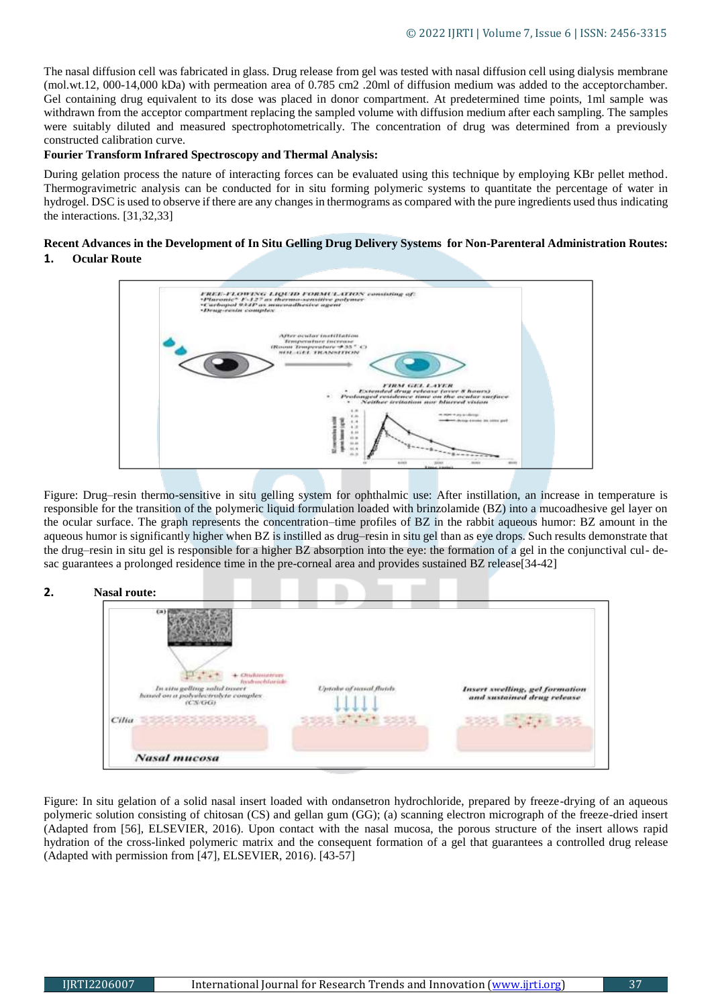The nasal diffusion cell was fabricated in glass. Drug release from gel was tested with nasal diffusion cell using dialysis membrane (mol.wt.12, 000-14,000 kDa) with permeation area of 0.785 cm2 .20ml of diffusion medium was added to the acceptorchamber. Gel containing drug equivalent to its dose was placed in donor compartment. At predetermined time points, 1ml sample was withdrawn from the acceptor compartment replacing the sampled volume with diffusion medium after each sampling. The samples were suitably diluted and measured spectrophotometrically. The concentration of drug was determined from a previously constructed calibration curve.

#### **Fourier Transform Infrared Spectroscopy and Thermal Analysis:**

During gelation process the nature of interacting forces can be evaluated using this technique by employing KBr pellet method. Thermogravimetric analysis can be conducted for in situ forming polymeric systems to quantitate the percentage of water in hydrogel. DSC is used to observe if there are any changes in thermograms as compared with the pure ingredients used thus indicating the interactions. [31,32,33]

## **Recent Advances in the Development of In Situ Gelling Drug Delivery Systems for Non-Parenteral Administration Routes: 1. Ocular Route**



Figure: Drug–resin thermo-sensitive in situ gelling system for ophthalmic use: After instillation, an increase in temperature is responsible for the transition of the polymeric liquid formulation loaded with brinzolamide (BZ) into a mucoadhesive gel layer on the ocular surface. The graph represents the concentration–time profiles of BZ in the rabbit aqueous humor: BZ amount in the aqueous humor is significantly higher when BZ is instilled as drug–resin in situ gel than as eye drops. Such results demonstrate that the drug–resin in situ gel is responsible for a higher BZ absorption into the eye: the formation of a gel in the conjunctival cul- desac guarantees a prolonged residence time in the pre-corneal area and provides sustained BZ release[34-42]

## **2. Nasal route:**

| Chicksweather<br>In situ gelling solid innert<br>haved on a polythectrolyte complex. | Untake at nasal flutch    | <b>Insert swelling, gel formation</b><br>and sustained drug release |
|--------------------------------------------------------------------------------------|---------------------------|---------------------------------------------------------------------|
| (C.S.C.G.)                                                                           | <b>SEAR DAY: THE SEAR</b> | 2223 25492 23                                                       |
| <b>Nasal mucosa</b>                                                                  |                           |                                                                     |

Figure: In situ gelation of a solid nasal insert loaded with ondansetron hydrochloride, prepared by freeze-drying of an aqueous polymeric solution consisting of chitosan (CS) and gellan gum (GG); (a) scanning electron micrograph of the freeze-dried insert (Adapted from [56], ELSEVIER, 2016). Upon contact with the nasal mucosa, the porous structure of the insert allows rapid hydration of the cross-linked polymeric matrix and the consequent formation of a gel that guarantees a controlled drug release (Adapted with permission from [47], ELSEVIER, 2016). [43-57]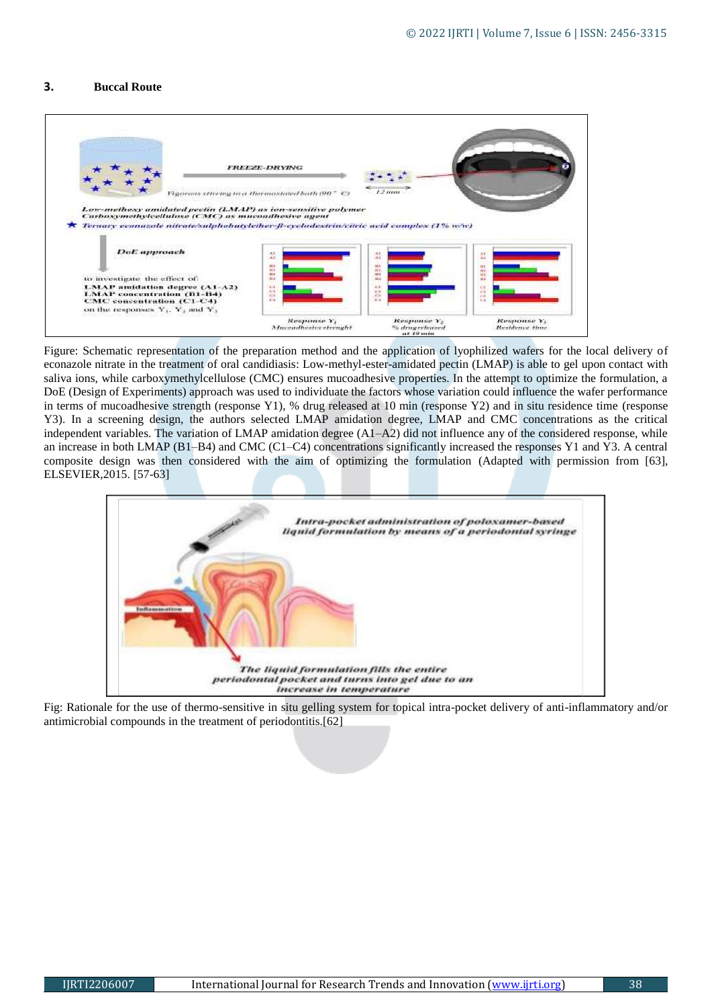#### **3. Buccal Route**



Figure: Schematic representation of the preparation method and the application of lyophilized wafers for the local delivery of econazole nitrate in the treatment of oral candidiasis: Low-methyl-ester-amidated pectin (LMAP) is able to gel upon contact with saliva ions, while carboxymethylcellulose (CMC) ensures mucoadhesive properties. In the attempt to optimize the formulation, a DoE (Design of Experiments) approach was used to individuate the factors whose variation could influence the wafer performance in terms of mucoadhesive strength (response Y1), % drug released at 10 min (response Y2) and in situ residence time (response Y3). In a screening design, the authors selected LMAP amidation degree, LMAP and CMC concentrations as the critical independent variables. The variation of LMAP amidation degree (A1–A2) did not influence any of the considered response, while an increase in both LMAP (B1–B4) and CMC (C1–C4) concentrations significantly increased the responses Y1 and Y3. A central composite design was then considered with the aim of optimizing the formulation (Adapted with permission from [63], ELSEVIER,2015. [57-63]



Fig: Rationale for the use of thermo-sensitive in situ gelling system for topical intra-pocket delivery of anti-inflammatory and/or antimicrobial compounds in the treatment of periodontitis.[62]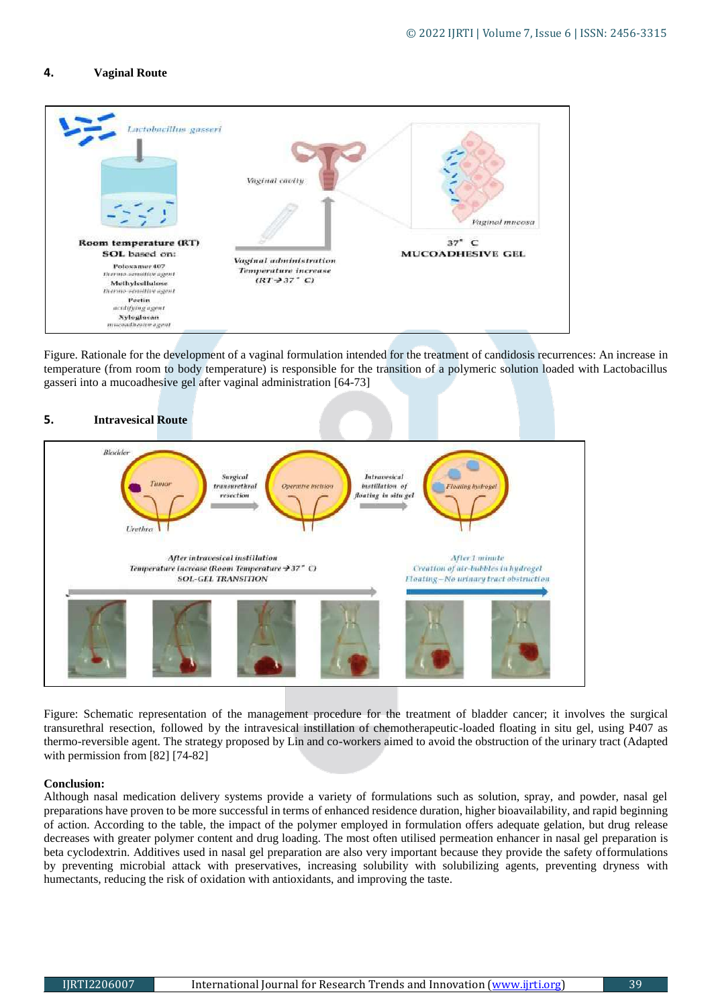#### **4. Vaginal Route**



Figure. Rationale for the development of a vaginal formulation intended for the treatment of candidosis recurrences: An increase in temperature (from room to body temperature) is responsible for the transition of a polymeric solution loaded with Lactobacillus gasseri into a mucoadhesive gel after vaginal administration [64-73]



Figure: Schematic representation of the management procedure for the treatment of bladder cancer; it involves the surgical transurethral resection, followed by the intravesical instillation of chemotherapeutic-loaded floating in situ gel, using P407 as thermo-reversible agent. The strategy proposed by Lin and co-workers aimed to avoid the obstruction of the urinary tract (Adapted with permission from [82] [74-82]

#### **Conclusion:**

Although nasal medication delivery systems provide a variety of formulations such as solution, spray, and powder, nasal gel preparations have proven to be more successful in terms of enhanced residence duration, higher bioavailability, and rapid beginning of action. According to the table, the impact of the polymer employed in formulation offers adequate gelation, but drug release decreases with greater polymer content and drug loading. The most often utilised permeation enhancer in nasal gel preparation is beta cyclodextrin. Additives used in nasal gel preparation are also very important because they provide the safety offormulations by preventing microbial attack with preservatives, increasing solubility with solubilizing agents, preventing dryness with humectants, reducing the risk of oxidation with antioxidants, and improving the taste.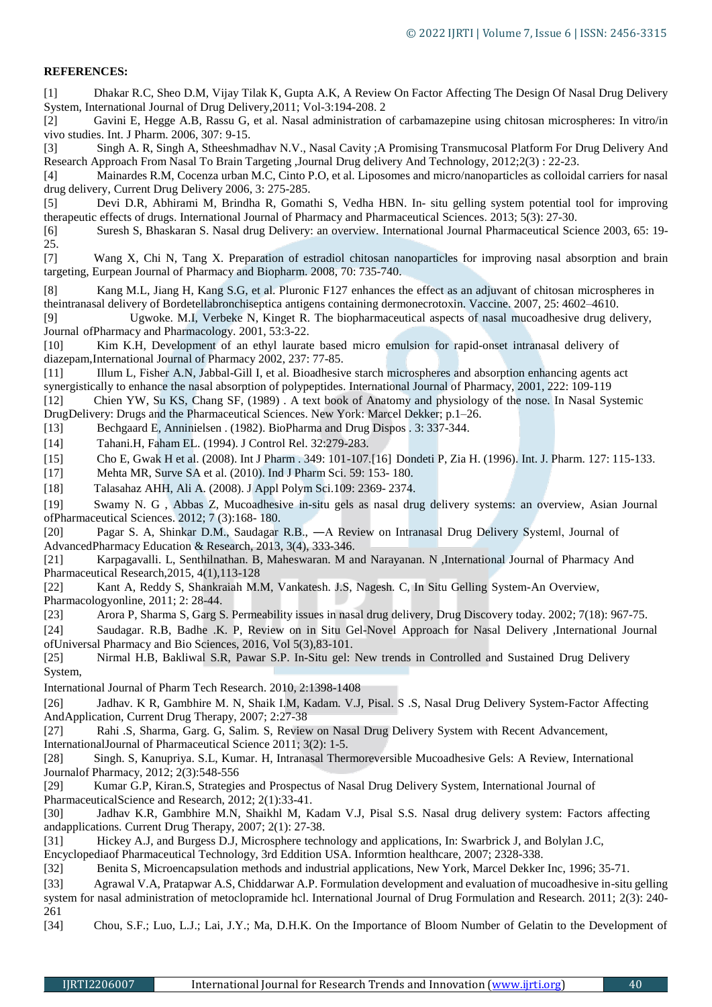#### **REFERENCES:**

[1] Dhakar R.C, Sheo D.M, Vijay Tilak K, Gupta A.K, A Review On Factor Affecting The Design Of Nasal Drug Delivery System, International Journal of Drug Delivery,2011; Vol-3:194-208. 2

[2] Gavini E, Hegge A.B, Rassu G, et al. Nasal administration of carbamazepine using chitosan microspheres: In vitro/in vivo studies. Int. J Pharm. 2006, 307: 9-15.

[3] Singh A. R, Singh A, Stheeshmadhav N.V., Nasal Cavity ;A Promising Transmucosal Platform For Drug Delivery And Research Approach From Nasal To Brain Targeting ,Journal Drug delivery And Technology, 2012;2(3) : 22-23.

[4] Mainardes R.M, Cocenza urban M.C, Cinto P.O, et al. Liposomes and micro/nanoparticles as colloidal carriers for nasal drug delivery, Current Drug Delivery 2006, 3: 275-285.

[5] Devi D.R, Abhirami M, Brindha R, Gomathi S, Vedha HBN. In- situ gelling system potential tool for improving therapeutic effects of drugs. International Journal of Pharmacy and Pharmaceutical Sciences. 2013; 5(3): 27-30.

[6] Suresh S, Bhaskaran S. Nasal drug Delivery: an overview. International Journal Pharmaceutical Science 2003, 65: 19- 25.

[7] Wang X, Chi N, Tang X. Preparation of estradiol chitosan nanoparticles for improving nasal absorption and brain targeting, Eurpean Journal of Pharmacy and Biopharm. 2008, 70: 735-740.

[8] Kang M.L, Jiang H, Kang S.G, et al. Pluronic F127 enhances the effect as an adjuvant of chitosan microspheres in theintranasal delivery of Bordetellabronchiseptica antigens containing dermonecrotoxin. Vaccine. 2007, 25: 4602–4610.

[9] Ugwoke. M.I, Verbeke N, Kinget R. The biopharmaceutical aspects of nasal mucoadhesive drug delivery, Journal ofPharmacy and Pharmacology. 2001, 53:3-22.

[10] Kim K.H, Development of an ethyl laurate based micro emulsion for rapid-onset intranasal delivery of diazepam,International Journal of Pharmacy 2002, 237: 77-85.

[11] Illum L, Fisher A.N, Jabbal-Gill I, et al. Bioadhesive starch microspheres and absorption enhancing agents act synergistically to enhance the nasal absorption of polypeptides. International Journal of Pharmacy, 2001, 222: 109-119

[12] Chien YW, Su KS, Chang SF, (1989) . A text book of Anatomy and physiology of the nose. In Nasal Systemic DrugDelivery: Drugs and the Pharmaceutical Sciences. New York: Marcel Dekker; p.1–26.

[13] Bechgaard E, Anninielsen . (1982). BioPharma and Drug Dispos . 3: 337-344.

[14] Tahani.H, Faham EL. (1994). J Control Rel. 32:279-283.

[15] Cho E, Gwak H et al. (2008). Int J Pharm . 349: 101-107.[16] Dondeti P, Zia H. (1996). Int. J. Pharm. 127: 115-133.

[17] Mehta MR, Surve SA et al. (2010). Ind J Pharm Sci. 59: 153- 180.

[18] Talasahaz AHH, Ali A. (2008). J Appl Polym Sci.109: 2369- 2374.

[19] Swamy N. G , Abbas Z, Mucoadhesive in-situ gels as nasal drug delivery systems: an overview, Asian Journal ofPharmaceutical Sciences. 2012; 7 (3):168- 180.

[20] Pagar S. A, Shinkar D.M., Saudagar R.B., ―A Review on Intranasal Drug Delivery System‖, Journal of AdvancedPharmacy Education & Research, 2013, 3(4), 333-346.

[21] Karpagavalli. L, Senthilnathan. B, Maheswaran. M and Narayanan. N ,International Journal of Pharmacy And Pharmaceutical Research,2015, 4(1),113-128

[22] Kant A, Reddy S, Shankraiah M.M, Vankatesh. J.S, Nagesh. C, In Situ Gelling System-An Overview,

Pharmacologyonline, 2011; 2: 28-44.

[23] Arora P, Sharma S, Garg S. Permeability issues in nasal drug delivery, Drug Discovery today. 2002; 7(18): 967-75.

[24] Saudagar. R.B, Badhe .K. P, Review on in Situ Gel-Novel Approach for Nasal Delivery ,International Journal ofUniversal Pharmacy and Bio Sciences, 2016, Vol 5(3),83-101.

[25] Nirmal H.B, Bakliwal S.R, Pawar S.P. In-Situ gel: New trends in Controlled and Sustained Drug Delivery System,

International Journal of Pharm Tech Research. 2010, 2:1398-1408

[26] Jadhav. K R, Gambhire M. N, Shaik I.M, Kadam. V.J, Pisal. S .S, Nasal Drug Delivery System-Factor Affecting AndApplication, Current Drug Therapy, 2007; 2:27-38

[27] Rahi .S, Sharma, Garg. G, Salim. S, Review on Nasal Drug Delivery System with Recent Advancement,

InternationalJournal of Pharmaceutical Science 2011; 3(2): 1-5.

[28] Singh. S, Kanupriya. S.L, Kumar. H, Intranasal Thermoreversible Mucoadhesive Gels: A Review, International Journalof Pharmacy, 2012; 2(3):548-556

[29] Kumar G.P, Kiran.S, Strategies and Prospectus of Nasal Drug Delivery System, International Journal of PharmaceuticalScience and Research, 2012; 2(1):33-41.

[30] Jadhav K.R, Gambhire M.N, Shaikhl M, Kadam V.J, Pisal S.S. Nasal drug delivery system: Factors affecting andapplications. Current Drug Therapy, 2007; 2(1): 27-38.

[31] Hickey A.J, and Burgess D.J, Microsphere technology and applications, In: Swarbrick J, and Bolylan J.C,

Encyclopediaof Pharmaceutical Technology, 3rd Eddition USA. Informtion healthcare, 2007; 2328-338.

[32] Benita S, Microencapsulation methods and industrial applications, New York, Marcel Dekker Inc, 1996; 35-71.

[33] Agrawal V.A, Pratapwar A.S, Chiddarwar A.P. Formulation development and evaluation of mucoadhesive in-situ gelling system for nasal administration of metoclopramide hcl. International Journal of Drug Formulation and Research. 2011; 2(3): 240- 261

[34] Chou, S.F.; Luo, L.J.; Lai, J.Y.; Ma, D.H.K. On the Importance of Bloom Number of Gelatin to the Development of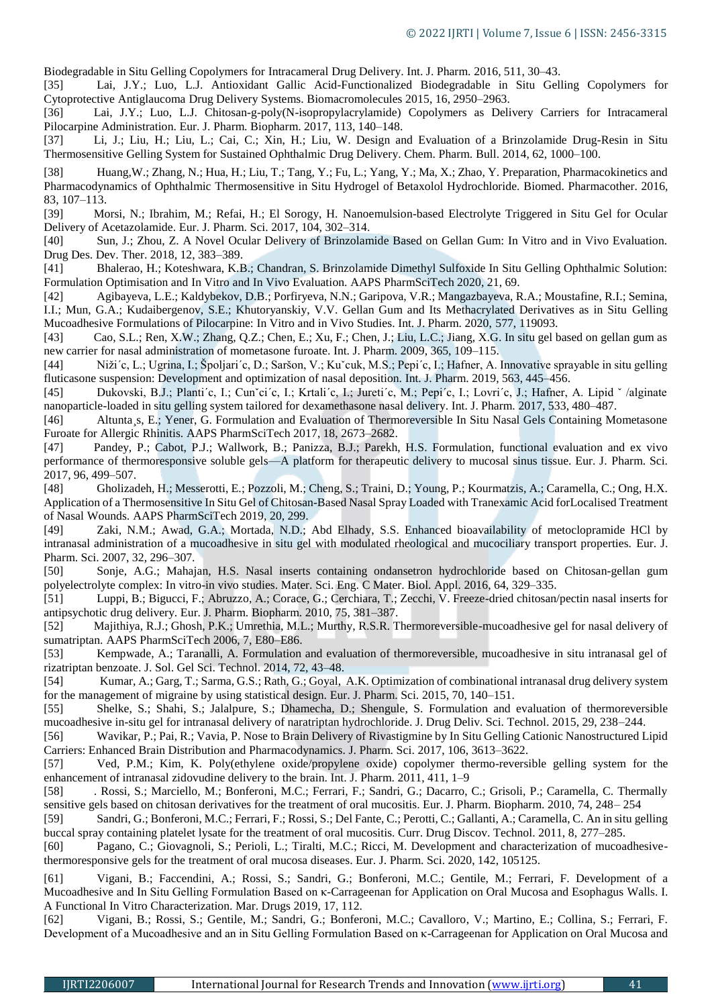Biodegradable in Situ Gelling Copolymers for Intracameral Drug Delivery. Int. J. Pharm. 2016, 511, 30–43.

[35] Lai, J.Y.; Luo, L.J. Antioxidant Gallic Acid-Functionalized Biodegradable in Situ Gelling Copolymers for Cytoprotective Antiglaucoma Drug Delivery Systems. Biomacromolecules 2015, 16, 2950–2963.

[36] Lai, J.Y.; Luo, L.J. Chitosan-g-poly(N-isopropylacrylamide) Copolymers as Delivery Carriers for Intracameral Pilocarpine Administration. Eur. J. Pharm. Biopharm. 2017, 113, 140–148.

[37] Li, J.; Liu, H.; Liu, L.; Cai, C.; Xin, H.; Liu, W. Design and Evaluation of a Brinzolamide Drug-Resin in Situ Thermosensitive Gelling System for Sustained Ophthalmic Drug Delivery. Chem. Pharm. Bull. 2014, 62, 1000–100.

[38] Huang,W.; Zhang, N.; Hua, H.; Liu, T.; Tang, Y.; Fu, L.; Yang, Y.; Ma, X.; Zhao, Y. Preparation, Pharmacokinetics and Pharmacodynamics of Ophthalmic Thermosensitive in Situ Hydrogel of Betaxolol Hydrochloride. Biomed. Pharmacother. 2016, 83, 107–113.

[39] Morsi, N.; Ibrahim, M.; Refai, H.; El Sorogy, H. Nanoemulsion-based Electrolyte Triggered in Situ Gel for Ocular Delivery of Acetazolamide. Eur. J. Pharm. Sci. 2017, 104, 302–314.

[40] Sun, J.; Zhou, Z. A Novel Ocular Delivery of Brinzolamide Based on Gellan Gum: In Vitro and in Vivo Evaluation. Drug Des. Dev. Ther. 2018, 12, 383–389.

[41] Bhalerao, H.; Koteshwara, K.B.; Chandran, S. Brinzolamide Dimethyl Sulfoxide In Situ Gelling Ophthalmic Solution: Formulation Optimisation and In Vitro and In Vivo Evaluation. AAPS PharmSciTech 2020, 21, 69.

[42] Agibayeva, L.E.; Kaldybekov, D.B.; Porfiryeva, N.N.; Garipova, V.R.; Mangazbayeva, R.A.; Moustafine, R.I.; Semina, I.I.; Mun, G.A.; Kudaibergenov, S.E.; Khutoryanskiy, V.V. Gellan Gum and Its Methacrylated Derivatives as in Situ Gelling Mucoadhesive Formulations of Pilocarpine: In Vitro and in Vivo Studies. Int. J. Pharm. 2020, 577, 119093.

[43] Cao, S.L.; Ren, X.W.; Zhang, Q.Z.; Chen, E.; Xu, F.; Chen, J.; Liu, L.C.; Jiang, X.G. In situ gel based on gellan gum as new carrier for nasal administration of mometasone furoate. Int. J. Pharm. 2009, 365, 109–115.

[44] Niži´c, L.; Ugrina, I.; Špoljari´c, D.; Saršon, V.; Kuˇcuk, M.S.; Pepi´c, I.; Hafner, A. Innovative sprayable in situ gelling fluticasone suspension: Development and optimization of nasal deposition. Int. J. Pharm. 2019, 563, 445–456.

[45] Dukovski, B.J.; Planti´c, I.; Cunˇci´c, I.; Krtali´c, I.; Jureti´c, M.; Pepi´c, I.; Lovri´c, J.; Hafner, A. Lipid ˇ /alginate nanoparticle-loaded in situ gelling system tailored for dexamethasone nasal delivery. Int. J. Pharm. 2017, 533, 480–487.

[46] Altunta¸s, E.; Yener, G. Formulation and Evaluation of Thermoreversible In Situ Nasal Gels Containing Mometasone Furoate for Allergic Rhinitis. AAPS PharmSciTech 2017, 18, 2673–2682.

[47] Pandey, P.; Cabot, P.J.; Wallwork, B.; Panizza, B.J.; Parekh, H.S. Formulation, functional evaluation and ex vivo performance of thermoresponsive soluble gels—A platform for therapeutic delivery to mucosal sinus tissue. Eur. J. Pharm. Sci. 2017, 96, 499–507.

[48] Gholizadeh, H.; Messerotti, E.; Pozzoli, M.; Cheng, S.; Traini, D.; Young, P.; Kourmatzis, A.; Caramella, C.; Ong, H.X. Application of a Thermosensitive In Situ Gel of Chitosan-Based Nasal Spray Loaded with Tranexamic Acid forLocalised Treatment of Nasal Wounds. AAPS PharmSciTech 2019, 20, 299.

[49] Zaki, N.M.; Awad, G.A.; Mortada, N.D.; Abd Elhady, S.S. Enhanced bioavailability of metoclopramide HCl by intranasal administration of a mucoadhesive in situ gel with modulated rheological and mucociliary transport properties. Eur. J. Pharm. Sci. 2007, 32, 296–307.

[50] Sonje, A.G.; Mahajan, H.S. Nasal inserts containing ondansetron hydrochloride based on Chitosan-gellan gum polyelectrolyte complex: In vitro-in vivo studies. Mater. Sci. Eng. C Mater. Biol. Appl. 2016, 64, 329–335.

[51] Luppi, B.; Bigucci, F.; Abruzzo, A.; Corace, G.; Cerchiara, T.; Zecchi, V. Freeze-dried chitosan/pectin nasal inserts for antipsychotic drug delivery. Eur. J. Pharm. Biopharm. 2010, 75, 381–387.

[52] Majithiya, R.J.; Ghosh, P.K.; Umrethia, M.L.; Murthy, R.S.R. Thermoreversible-mucoadhesive gel for nasal delivery of sumatriptan. AAPS PharmSciTech 2006, 7, E80–E86.

[53] Kempwade, A.; Taranalli, A. Formulation and evaluation of thermoreversible, mucoadhesive in situ intranasal gel of rizatriptan benzoate. J. Sol. Gel Sci. Technol. 2014, 72, 43–48.

[54] Kumar, A.; Garg, T.; Sarma, G.S.; Rath, G.; Goyal, A.K. Optimization of combinational intranasal drug delivery system for the management of migraine by using statistical design. Eur. J. Pharm. Sci. 2015, 70, 140–151.

[55] Shelke, S.; Shahi, S.; Jalalpure, S.; Dhamecha, D.; Shengule, S. Formulation and evaluation of thermoreversible mucoadhesive in-situ gel for intranasal delivery of naratriptan hydrochloride. J. Drug Deliv. Sci. Technol. 2015, 29, 238–244.

[56] Wavikar, P.; Pai, R.; Vavia, P. Nose to Brain Delivery of Rivastigmine by In Situ Gelling Cationic Nanostructured Lipid Carriers: Enhanced Brain Distribution and Pharmacodynamics. J. Pharm. Sci. 2017, 106, 3613–3622.

[57] Ved, P.M.; Kim, K. Poly(ethylene oxide/propylene oxide) copolymer thermo-reversible gelling system for the enhancement of intranasal zidovudine delivery to the brain. Int. J. Pharm. 2011, 411, 1–9

[58] . Rossi, S.; Marciello, M.; Bonferoni, M.C.; Ferrari, F.; Sandri, G.; Dacarro, C.; Grisoli, P.; Caramella, C. Thermally sensitive gels based on chitosan derivatives for the treatment of oral mucositis. Eur. J. Pharm. Biopharm. 2010, 74, 248– 254

[59] Sandri, G.; Bonferoni, M.C.; Ferrari, F.; Rossi, S.; Del Fante, C.; Perotti, C.; Gallanti, A.; Caramella, C. An in situ gelling buccal spray containing platelet lysate for the treatment of oral mucositis. Curr. Drug Discov. Technol. 2011, 8, 277–285.

[60] Pagano, C.; Giovagnoli, S.; Perioli, L.; Tiralti, M.C.; Ricci, M. Development and characterization of mucoadhesivethermoresponsive gels for the treatment of oral mucosa diseases. Eur. J. Pharm. Sci. 2020, 142, 105125.

[61] Vigani, B.; Faccendini, A.; Rossi, S.; Sandri, G.; Bonferoni, M.C.; Gentile, M.; Ferrari, F. Development of a Mucoadhesive and In Situ Gelling Formulation Based on κ-Carrageenan for Application on Oral Mucosa and Esophagus Walls. I. A Functional In Vitro Characterization. Mar. Drugs 2019, 17, 112.

[62] Vigani, B.; Rossi, S.; Gentile, M.; Sandri, G.; Bonferoni, M.C.; Cavalloro, V.; Martino, E.; Collina, S.; Ferrari, F. Development of a Mucoadhesive and an in Situ Gelling Formulation Based on κ-Carrageenan for Application on Oral Mucosa and